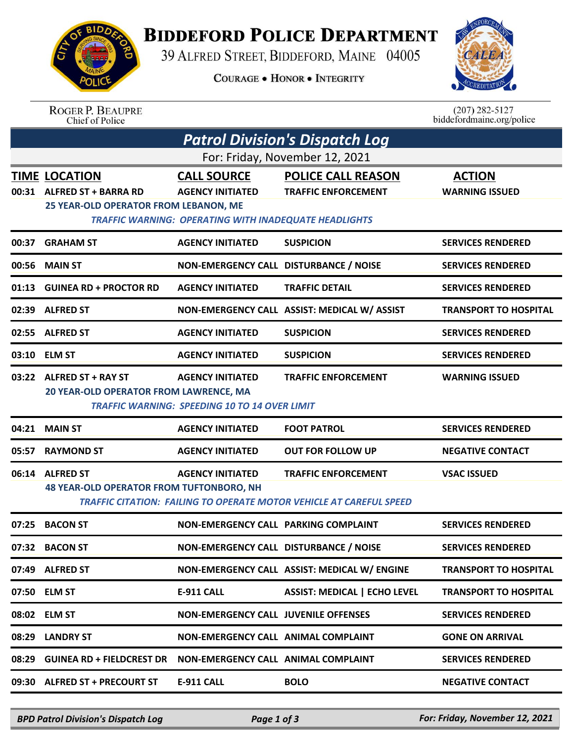

## **BIDDEFORD POLICE DEPARTMENT**

39 ALFRED STREET, BIDDEFORD, MAINE 04005

**COURAGE . HONOR . INTEGRITY** 



ROGER P. BEAUPRE<br>Chief of Police

 $(207)$  282-5127<br>biddefordmaine.org/police

| <b>Patrol Division's Dispatch Log</b> |                                                                                                                                                                                                              |                                                                                                               |                                                                                                   |                                        |  |  |  |  |
|---------------------------------------|--------------------------------------------------------------------------------------------------------------------------------------------------------------------------------------------------------------|---------------------------------------------------------------------------------------------------------------|---------------------------------------------------------------------------------------------------|----------------------------------------|--|--|--|--|
| For: Friday, November 12, 2021        |                                                                                                                                                                                                              |                                                                                                               |                                                                                                   |                                        |  |  |  |  |
|                                       | <b>TIME LOCATION</b><br>00:31 ALFRED ST + BARRA RD<br>25 YEAR-OLD OPERATOR FROM LEBANON, ME                                                                                                                  | <b>CALL SOURCE</b><br><b>AGENCY INITIATED</b><br><b>TRAFFIC WARNING: OPERATING WITH INADEQUATE HEADLIGHTS</b> | <b>POLICE CALL REASON</b><br><b>TRAFFIC ENFORCEMENT</b>                                           | <b>ACTION</b><br><b>WARNING ISSUED</b> |  |  |  |  |
| 00:37                                 | <b>GRAHAM ST</b>                                                                                                                                                                                             | <b>AGENCY INITIATED</b>                                                                                       | <b>SUSPICION</b>                                                                                  | <b>SERVICES RENDERED</b>               |  |  |  |  |
| 00:56                                 | <b>MAIN ST</b>                                                                                                                                                                                               | NON-EMERGENCY CALL DISTURBANCE / NOISE                                                                        |                                                                                                   | <b>SERVICES RENDERED</b>               |  |  |  |  |
|                                       | 01:13 GUINEA RD + PROCTOR RD                                                                                                                                                                                 | <b>AGENCY INITIATED</b>                                                                                       | <b>TRAFFIC DETAIL</b>                                                                             | <b>SERVICES RENDERED</b>               |  |  |  |  |
|                                       | 02:39 ALFRED ST                                                                                                                                                                                              |                                                                                                               | NON-EMERGENCY CALL ASSIST: MEDICAL W/ ASSIST                                                      | <b>TRANSPORT TO HOSPITAL</b>           |  |  |  |  |
|                                       | 02:55 ALFRED ST                                                                                                                                                                                              | <b>AGENCY INITIATED</b>                                                                                       | <b>SUSPICION</b>                                                                                  | <b>SERVICES RENDERED</b>               |  |  |  |  |
|                                       | 03:10 ELM ST                                                                                                                                                                                                 | <b>AGENCY INITIATED</b>                                                                                       | <b>SUSPICION</b>                                                                                  | <b>SERVICES RENDERED</b>               |  |  |  |  |
|                                       | 03:22 ALFRED ST + RAY ST<br><b>TRAFFIC ENFORCEMENT</b><br><b>WARNING ISSUED</b><br><b>AGENCY INITIATED</b><br>20 YEAR-OLD OPERATOR FROM LAWRENCE, MA<br><b>TRAFFIC WARNING: SPEEDING 10 TO 14 OVER LIMIT</b> |                                                                                                               |                                                                                                   |                                        |  |  |  |  |
|                                       | 04:21 MAIN ST                                                                                                                                                                                                | <b>AGENCY INITIATED</b>                                                                                       | <b>FOOT PATROL</b>                                                                                | <b>SERVICES RENDERED</b>               |  |  |  |  |
|                                       | 05:57 RAYMOND ST                                                                                                                                                                                             | <b>AGENCY INITIATED</b>                                                                                       | <b>OUT FOR FOLLOW UP</b>                                                                          | <b>NEGATIVE CONTACT</b>                |  |  |  |  |
|                                       | 06:14 ALFRED ST<br><b>48 YEAR-OLD OPERATOR FROM TUFTONBORO, NH</b>                                                                                                                                           | <b>AGENCY INITIATED</b>                                                                                       | <b>TRAFFIC ENFORCEMENT</b><br>TRAFFIC CITATION: FAILING TO OPERATE MOTOR VEHICLE AT CAREFUL SPEED | <b>VSAC ISSUED</b>                     |  |  |  |  |
| 07:25                                 | <b>BACON ST</b>                                                                                                                                                                                              | NON-EMERGENCY CALL PARKING COMPLAINT                                                                          |                                                                                                   | <b>SERVICES RENDERED</b>               |  |  |  |  |
| 07:32                                 | <b>BACON ST</b>                                                                                                                                                                                              | NON-EMERGENCY CALL DISTURBANCE / NOISE                                                                        |                                                                                                   | <b>SERVICES RENDERED</b>               |  |  |  |  |
|                                       | 07:49 ALFRED ST                                                                                                                                                                                              |                                                                                                               | NON-EMERGENCY CALL ASSIST: MEDICAL W/ ENGINE                                                      | <b>TRANSPORT TO HOSPITAL</b>           |  |  |  |  |
|                                       | 07:50 ELM ST                                                                                                                                                                                                 | <b>E-911 CALL</b>                                                                                             | <b>ASSIST: MEDICAL   ECHO LEVEL</b>                                                               | <b>TRANSPORT TO HOSPITAL</b>           |  |  |  |  |
|                                       | 08:02 ELM ST                                                                                                                                                                                                 | <b>NON-EMERGENCY CALL JUVENILE OFFENSES</b>                                                                   |                                                                                                   | <b>SERVICES RENDERED</b>               |  |  |  |  |
| 08:29                                 | <b>LANDRY ST</b>                                                                                                                                                                                             | NON-EMERGENCY CALL ANIMAL COMPLAINT                                                                           |                                                                                                   | <b>GONE ON ARRIVAL</b>                 |  |  |  |  |
| 08:29                                 | <b>GUINEA RD + FIELDCREST DR</b>                                                                                                                                                                             | NON-EMERGENCY CALL ANIMAL COMPLAINT                                                                           |                                                                                                   | <b>SERVICES RENDERED</b>               |  |  |  |  |
|                                       | 09:30 ALFRED ST + PRECOURT ST                                                                                                                                                                                | <b>E-911 CALL</b>                                                                                             | <b>BOLO</b>                                                                                       | <b>NEGATIVE CONTACT</b>                |  |  |  |  |

*BPD Patrol Division's Dispatch Log Page 1 of 3 For: Friday, November 12, 2021*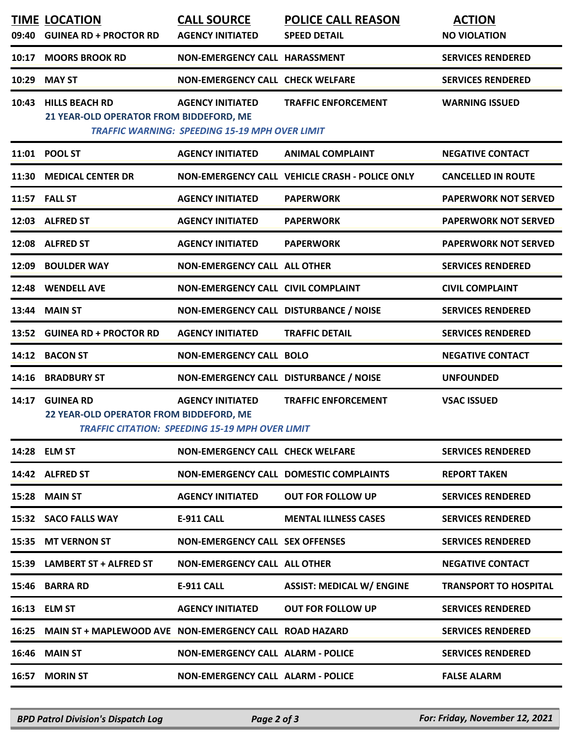|       | <b>TIME LOCATION</b>                                            | <b>CALL SOURCE</b>                                                                | <b>POLICE CALL REASON</b>                      | <b>ACTION</b>                |
|-------|-----------------------------------------------------------------|-----------------------------------------------------------------------------------|------------------------------------------------|------------------------------|
|       | 09:40 GUINEA RD + PROCTOR RD                                    | <b>AGENCY INITIATED</b>                                                           | <b>SPEED DETAIL</b>                            | <b>NO VIOLATION</b>          |
|       | 10:17 MOORS BROOK RD                                            | NON-EMERGENCY CALL HARASSMENT                                                     |                                                | <b>SERVICES RENDERED</b>     |
|       | 10:29 MAY ST                                                    | <b>NON-EMERGENCY CALL CHECK WELFARE</b>                                           |                                                | <b>SERVICES RENDERED</b>     |
|       | 10:43 HILLS BEACH RD<br>21 YEAR-OLD OPERATOR FROM BIDDEFORD, ME | <b>AGENCY INITIATED</b><br><b>TRAFFIC WARNING: SPEEDING 15-19 MPH OVER LIMIT</b>  | <b>TRAFFIC ENFORCEMENT</b>                     | <b>WARNING ISSUED</b>        |
|       | 11:01 POOL ST                                                   | <b>AGENCY INITIATED</b>                                                           | <b>ANIMAL COMPLAINT</b>                        | <b>NEGATIVE CONTACT</b>      |
|       | 11:30 MEDICAL CENTER DR                                         |                                                                                   | NON-EMERGENCY CALL VEHICLE CRASH - POLICE ONLY | <b>CANCELLED IN ROUTE</b>    |
|       | <b>11:57 FALL ST</b>                                            | <b>AGENCY INITIATED</b>                                                           | <b>PAPERWORK</b>                               | <b>PAPERWORK NOT SERVED</b>  |
|       | 12:03 ALFRED ST                                                 | <b>AGENCY INITIATED</b>                                                           | <b>PAPERWORK</b>                               | <b>PAPERWORK NOT SERVED</b>  |
|       | 12:08 ALFRED ST                                                 | <b>AGENCY INITIATED</b>                                                           | <b>PAPERWORK</b>                               | <b>PAPERWORK NOT SERVED</b>  |
|       | 12:09 BOULDER WAY                                               | <b>NON-EMERGENCY CALL ALL OTHER</b>                                               |                                                | <b>SERVICES RENDERED</b>     |
|       | 12:48 WENDELL AVE                                               | NON-EMERGENCY CALL CIVIL COMPLAINT                                                |                                                | <b>CIVIL COMPLAINT</b>       |
|       | 13:44 MAIN ST                                                   | NON-EMERGENCY CALL DISTURBANCE / NOISE                                            |                                                | <b>SERVICES RENDERED</b>     |
|       | 13:52 GUINEA RD + PROCTOR RD                                    | <b>AGENCY INITIATED</b>                                                           | <b>TRAFFIC DETAIL</b>                          | <b>SERVICES RENDERED</b>     |
|       | 14:12 BACON ST                                                  | <b>NON-EMERGENCY CALL BOLO</b>                                                    |                                                | <b>NEGATIVE CONTACT</b>      |
|       | 14:16 BRADBURY ST                                               | NON-EMERGENCY CALL DISTURBANCE / NOISE                                            |                                                | <b>UNFOUNDED</b>             |
|       | 14:17 GUINEA RD<br>22 YEAR-OLD OPERATOR FROM BIDDEFORD, ME      | <b>AGENCY INITIATED</b><br><b>TRAFFIC CITATION: SPEEDING 15-19 MPH OVER LIMIT</b> | <b>TRAFFIC ENFORCEMENT</b>                     | <b>VSAC ISSUED</b>           |
|       | 14:28 ELM ST                                                    | <b>NON-EMERGENCY CALL CHECK WELFARE</b>                                           |                                                | <b>SERVICES RENDERED</b>     |
|       | 14:42 ALFRED ST                                                 |                                                                                   | <b>NON-EMERGENCY CALL DOMESTIC COMPLAINTS</b>  | <b>REPORT TAKEN</b>          |
| 15:28 | <b>MAIN ST</b>                                                  | <b>AGENCY INITIATED</b>                                                           | <b>OUT FOR FOLLOW UP</b>                       | <b>SERVICES RENDERED</b>     |
|       | 15:32 SACO FALLS WAY                                            | <b>E-911 CALL</b>                                                                 | <b>MENTAL ILLNESS CASES</b>                    | <b>SERVICES RENDERED</b>     |
|       | 15:35 MT VERNON ST                                              | <b>NON-EMERGENCY CALL SEX OFFENSES</b>                                            |                                                | <b>SERVICES RENDERED</b>     |
|       | 15:39 LAMBERT ST + ALFRED ST                                    | <b>NON-EMERGENCY CALL ALL OTHER</b>                                               |                                                | <b>NEGATIVE CONTACT</b>      |
|       | 15:46 BARRA RD                                                  | <b>E-911 CALL</b>                                                                 | <b>ASSIST: MEDICAL W/ ENGINE</b>               | <b>TRANSPORT TO HOSPITAL</b> |
|       | 16:13 ELM ST                                                    | <b>AGENCY INITIATED</b>                                                           | <b>OUT FOR FOLLOW UP</b>                       | <b>SERVICES RENDERED</b>     |
|       | 16:25 MAIN ST + MAPLEWOOD AVE NON-EMERGENCY CALL ROAD HAZARD    |                                                                                   |                                                | <b>SERVICES RENDERED</b>     |
|       | <b>16:46 MAIN ST</b>                                            | <b>NON-EMERGENCY CALL ALARM - POLICE</b>                                          |                                                | <b>SERVICES RENDERED</b>     |
|       | 16:57 MORIN ST                                                  | <b>NON-EMERGENCY CALL ALARM - POLICE</b>                                          |                                                | <b>FALSE ALARM</b>           |